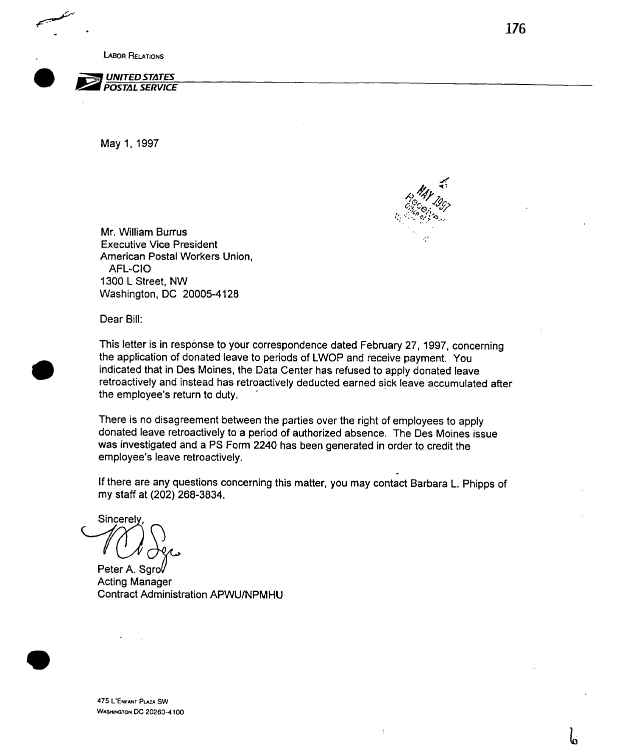LABOR RELATIONS



May 1, 1997



Mr. William Burrus . Executive Vice President American Postal Workers Union, AFL-CIO 1300 L Street, NW Washington, DC 20005-4128

Dear Bill:

This letter is in response to your correspondence dated February 27, 1997, concerning the application of donated leave to periods of LWOP and receive payment. You indicated that in Des Moines, the Data Center has refused to apply donated leave retroactively and instead has retroactively deducted earned sick leave accumulated after the employee's return to duty.

There is no disagreement between the parties over the right of employees to apply donated leave retroactively to a period of authorized absence. The Des Moines issue was investigated and a PS Form 2240 has been generated in order to credit the employee's leave retroactively.

If there are any questions concerning this matter, you may contact Barbara L. Phipps of my staff at (202) 268-3834.

**Sincerely** Y.

Peter A. Sarol Acting Manager Contract Administration APWU/NPMHU

b

475 UENFANT PLAZA SW **WASHINGTON DC 20260-4100** 

 $\bullet$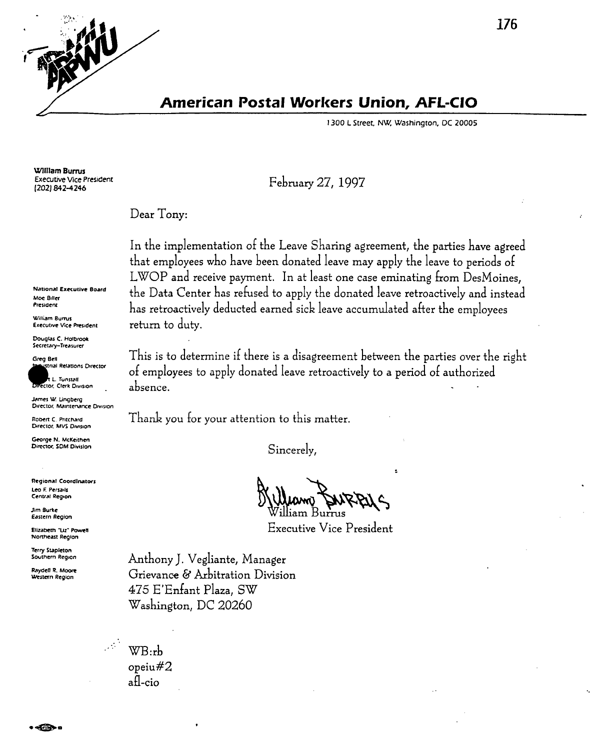**American Postal Workers Union, AFL-CIO** 

February 27, 1997

1300 L Street, NW, Washington, DC 20005

William Burrus **Executive Vice President** (202) 842-4246

Dear Tony:

In the implementation of the Leave Sharing agreement, the parties have agreed that employees who have been donated leave may apply the leave to periods of LWOP and receive payment. In at least one case eminating from DesMoines, the Data Center has refused to apply the donated leave retroactively and instead has retroactively deducted earned sick leave accumulated after the employees return to duty.

This is to determine if there is a disagreement between the parties over the right of employees to apply donated leave retroactively to a period of authorized absence.

Thank you for your attention to this matter.

Sincerely,

**Executive Vice President** 

Anthony J. Vegliante, Manager Grievance & Arbitration Division 475 E'Enfant Plaza, SW Washington, DC 20260

WB:rb opeiu#2 afl-cio

**National Executive Board** Moe Biller

President

William Burrus **Executive Vice President** 

Douglas C. Holbrook Secretary-Treasurer

Greg Bell strial Relations Director **L. Tunstall** 

Director, Clerk Division James W. Lingberg Director, Maintenance Division

Robert C. Pritchard Director, MVS Division

George N. McKeithen Director, SDM Division

**Regional Coordinators** Leo F. Persails Central Region

**Jim Burke** Eastern Region

Elizabeth "Liz" Powell Northeast Region

**Terry Stapleton** Southern Region

Raydell R. Moore Western Region